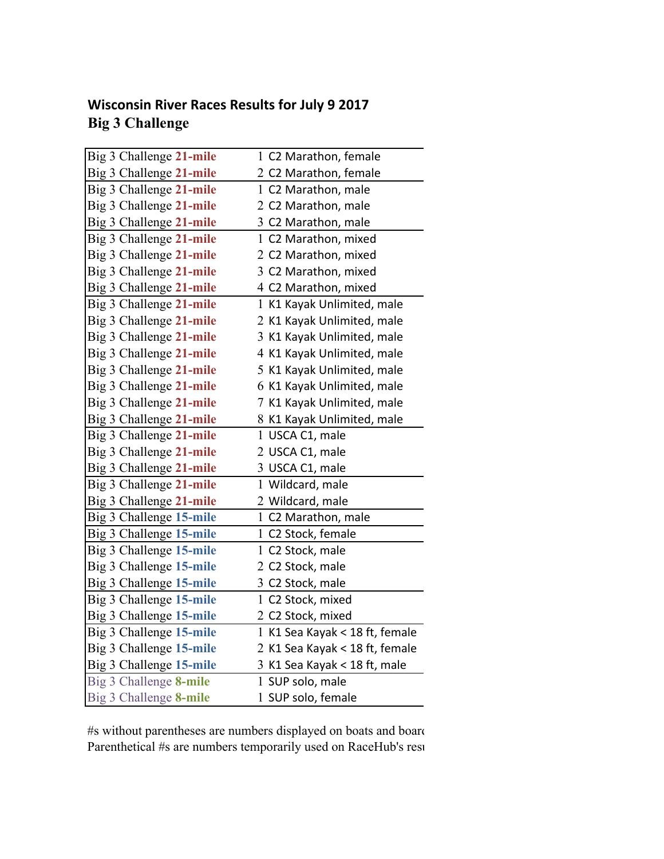## **Wisconsin River Races Results for July 9 2017 Big 3 Challenge**

| Big 3 Challenge 21-mile | 1 C2 Marathon, female          |
|-------------------------|--------------------------------|
| Big 3 Challenge 21-mile | 2 C2 Marathon, female          |
| Big 3 Challenge 21-mile | 1 C2 Marathon, male            |
| Big 3 Challenge 21-mile | 2 C2 Marathon, male            |
| Big 3 Challenge 21-mile | 3 C2 Marathon, male            |
| Big 3 Challenge 21-mile | 1 C2 Marathon, mixed           |
| Big 3 Challenge 21-mile | 2 C2 Marathon, mixed           |
| Big 3 Challenge 21-mile | 3 C2 Marathon, mixed           |
| Big 3 Challenge 21-mile | 4 C2 Marathon, mixed           |
| Big 3 Challenge 21-mile | 1 K1 Kayak Unlimited, male     |
| Big 3 Challenge 21-mile | 2 K1 Kayak Unlimited, male     |
| Big 3 Challenge 21-mile | 3 K1 Kayak Unlimited, male     |
| Big 3 Challenge 21-mile | 4 K1 Kayak Unlimited, male     |
| Big 3 Challenge 21-mile | 5 K1 Kayak Unlimited, male     |
| Big 3 Challenge 21-mile | 6 K1 Kayak Unlimited, male     |
| Big 3 Challenge 21-mile | 7 K1 Kayak Unlimited, male     |
| Big 3 Challenge 21-mile | 8 K1 Kayak Unlimited, male     |
| Big 3 Challenge 21-mile | 1 USCA C1, male                |
| Big 3 Challenge 21-mile | 2 USCA C1, male                |
| Big 3 Challenge 21-mile | 3 USCA C1, male                |
| Big 3 Challenge 21-mile | 1 Wildcard, male               |
| Big 3 Challenge 21-mile | 2 Wildcard, male               |
| Big 3 Challenge 15-mile | 1 C2 Marathon, male            |
| Big 3 Challenge 15-mile | 1 C2 Stock, female             |
| Big 3 Challenge 15-mile | 1 C2 Stock, male               |
| Big 3 Challenge 15-mile | 2 C2 Stock, male               |
| Big 3 Challenge 15-mile | 3 C2 Stock, male               |
| Big 3 Challenge 15-mile | 1 C2 Stock, mixed              |
| Big 3 Challenge 15-mile | 2 C2 Stock, mixed              |
| Big 3 Challenge 15-mile | 1 K1 Sea Kayak < 18 ft, female |
| Big 3 Challenge 15-mile | 2 K1 Sea Kayak < 18 ft, female |
| Big 3 Challenge 15-mile | 3 K1 Sea Kayak < 18 ft, male   |
| Big 3 Challenge 8-mile  | 1 SUP solo, male               |
| Big 3 Challenge 8-mile  | 1 SUP solo, female             |

#s without parentheses are numbers displayed on boats and board Parenthetical #s are numbers temporarily used on RaceHub's results